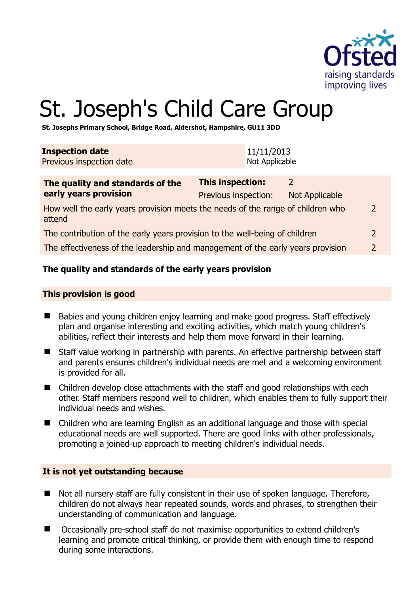

2

# St. Joseph's Child Care Group

**St. Josephs Primary School, Bridge Road, Aldershot, Hampshire, GU11 3DD** 

| <b>Inspection date</b><br>Previous inspection date                                        |                                                 | 11/11/2013<br>Not Applicable |                                        |                |
|-------------------------------------------------------------------------------------------|-------------------------------------------------|------------------------------|----------------------------------------|----------------|
| The quality and standards of the<br>early years provision                                 | <b>This inspection:</b><br>Previous inspection: |                              | $\mathcal{L}$<br><b>Not Applicable</b> |                |
| How well the early years provision meets the needs of the range of children who<br>attend |                                                 |                              |                                        |                |
| The contribution of the early years provision to the well-being of children               |                                                 |                              |                                        | $\overline{2}$ |
| The effectiveness of the leadership and management of the early years provision           |                                                 |                              |                                        |                |

# **The quality and standards of the early years provision**

#### **This provision is good**

- Babies and young children enjoy learning and make good progress. Staff effectively plan and organise interesting and exciting activities, which match young children's abilities, reflect their interests and help them move forward in their learning.
- Staff value working in partnership with parents. An effective partnership between staff and parents ensures children's individual needs are met and a welcoming environment is provided for all.
- Children develop close attachments with the staff and good relationships with each other. Staff members respond well to children, which enables them to fully support their individual needs and wishes.
- Children who are learning English as an additional language and those with special educational needs are well supported. There are good links with other professionals, promoting a joined-up approach to meeting children's individual needs.

#### **It is not yet outstanding because**

- Not all nursery staff are fully consistent in their use of spoken language. Therefore, children do not always hear repeated sounds, words and phrases, to strengthen their understanding of communication and language.
- Occasionally pre-school staff do not maximise opportunities to extend children's learning and promote critical thinking, or provide them with enough time to respond during some interactions.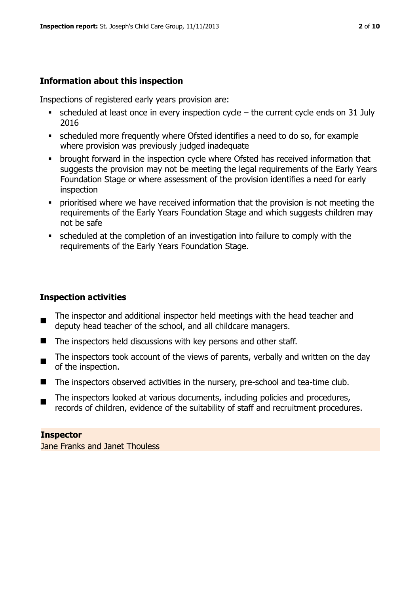# **Information about this inspection**

Inspections of registered early years provision are:

- $\bullet$  scheduled at least once in every inspection cycle the current cycle ends on 31 July 2016
- scheduled more frequently where Ofsted identifies a need to do so, for example where provision was previously judged inadequate
- brought forward in the inspection cycle where Ofsted has received information that suggests the provision may not be meeting the legal requirements of the Early Years Foundation Stage or where assessment of the provision identifies a need for early inspection
- **•** prioritised where we have received information that the provision is not meeting the requirements of the Early Years Foundation Stage and which suggests children may not be safe
- scheduled at the completion of an investigation into failure to comply with the requirements of the Early Years Foundation Stage.

# **Inspection activities**

- $\blacksquare$ The inspector and additional inspector held meetings with the head teacher and deputy head teacher of the school, and all childcare managers.
- The inspectors held discussions with key persons and other staff.
- The inspectors took account of the views of parents, verbally and written on the day of the inspection.
- The inspectors observed activities in the nursery, pre-school and tea-time club.
- $\blacksquare$ The inspectors looked at various documents, including policies and procedures, records of children, evidence of the suitability of staff and recruitment procedures.

#### **Inspector**

Jane Franks and Janet Thouless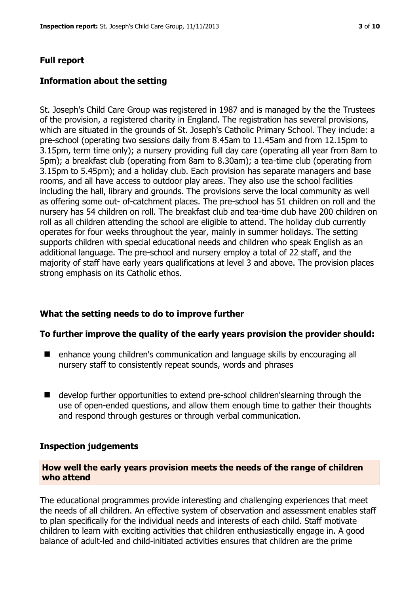#### **Full report**

#### **Information about the setting**

St. Joseph's Child Care Group was registered in 1987 and is managed by the the Trustees of the provision, a registered charity in England. The registration has several provisions, which are situated in the grounds of St. Joseph's Catholic Primary School. They include: a pre-school (operating two sessions daily from 8.45am to 11.45am and from 12.15pm to 3.15pm, term time only); a nursery providing full day care (operating all year from 8am to 5pm); a breakfast club (operating from 8am to 8.30am); a tea-time club (operating from 3.15pm to 5.45pm); and a holiday club. Each provision has separate managers and base rooms, and all have access to outdoor play areas. They also use the school facilities including the hall, library and grounds. The provisions serve the local community as well as offering some out- of-catchment places. The pre-school has 51 children on roll and the nursery has 54 children on roll. The breakfast club and tea-time club have 200 children on roll as all children attending the school are eligible to attend. The holiday club currently operates for four weeks throughout the year, mainly in summer holidays. The setting supports children with special educational needs and children who speak English as an additional language. The pre-school and nursery employ a total of 22 staff, and the majority of staff have early years qualifications at level 3 and above. The provision places strong emphasis on its Catholic ethos.

#### **What the setting needs to do to improve further**

#### **To further improve the quality of the early years provision the provider should:**

- enhance young children's communication and language skills by encouraging all nursery staff to consistently repeat sounds, words and phrases
- develop further opportunities to extend pre-school children's learning through the use of open-ended questions, and allow them enough time to gather their thoughts and respond through gestures or through verbal communication.

#### **Inspection judgements**

#### **How well the early years provision meets the needs of the range of children who attend**

The educational programmes provide interesting and challenging experiences that meet the needs of all children. An effective system of observation and assessment enables staff to plan specifically for the individual needs and interests of each child. Staff motivate children to learn with exciting activities that children enthusiastically engage in. A good balance of adult-led and child-initiated activities ensures that children are the prime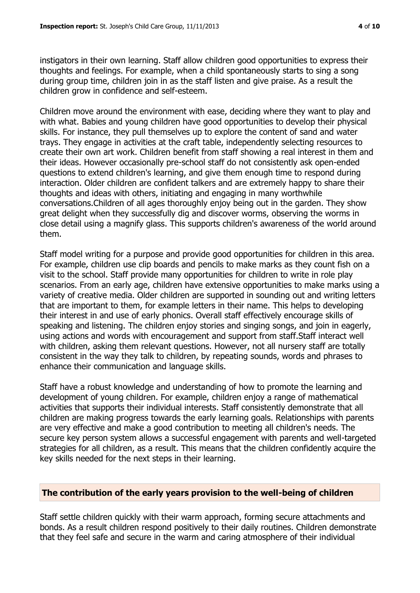instigators in their own learning. Staff allow children good opportunities to express their thoughts and feelings. For example, when a child spontaneously starts to sing a song during group time, children join in as the staff listen and give praise. As a result the children grow in confidence and self-esteem.

Children move around the environment with ease, deciding where they want to play and with what. Babies and young children have good opportunities to develop their physical skills. For instance, they pull themselves up to explore the content of sand and water trays. They engage in activities at the craft table, independently selecting resources to create their own art work. Children benefit from staff showing a real interest in them and their ideas. However occasionally pre-school staff do not consistently ask open-ended questions to extend children's learning, and give them enough time to respond during interaction. Older children are confident talkers and are extremely happy to share their thoughts and ideas with others, initiating and engaging in many worthwhile conversations.Children of all ages thoroughly enjoy being out in the garden. They show great delight when they successfully dig and discover worms, observing the worms in close detail using a magnify glass. This supports children's awareness of the world around them.

Staff model writing for a purpose and provide good opportunities for children in this area. For example, children use clip boards and pencils to make marks as they count fish on a visit to the school. Staff provide many opportunities for children to write in role play scenarios. From an early age, children have extensive opportunities to make marks using a variety of creative media. Older children are supported in sounding out and writing letters that are important to them, for example letters in their name. This helps to developing their interest in and use of early phonics. Overall staff effectively encourage skills of speaking and listening. The children enjoy stories and singing songs, and join in eagerly, using actions and words with encouragement and support from staff.Staff interact well with children, asking them relevant questions. However, not all nursery staff are totally consistent in the way they talk to children, by repeating sounds, words and phrases to enhance their communication and language skills.

Staff have a robust knowledge and understanding of how to promote the learning and development of young children. For example, children enjoy a range of mathematical activities that supports their individual interests. Staff consistently demonstrate that all children are making progress towards the early learning goals. Relationships with parents are very effective and make a good contribution to meeting all children's needs. The secure key person system allows a successful engagement with parents and well-targeted strategies for all children, as a result. This means that the children confidently acquire the key skills needed for the next steps in their learning.

# **The contribution of the early years provision to the well-being of children**

Staff settle children quickly with their warm approach, forming secure attachments and bonds. As a result children respond positively to their daily routines. Children demonstrate that they feel safe and secure in the warm and caring atmosphere of their individual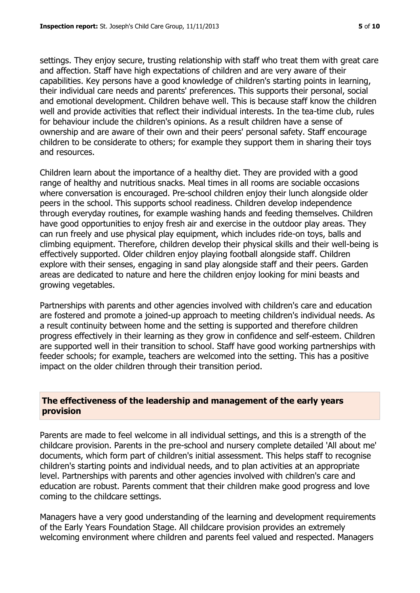settings. They enjoy secure, trusting relationship with staff who treat them with great care and affection. Staff have high expectations of children and are very aware of their capabilities. Key persons have a good knowledge of children's starting points in learning, their individual care needs and parents' preferences. This supports their personal, social and emotional development. Children behave well. This is because staff know the children well and provide activities that reflect their individual interests. In the tea-time club, rules for behaviour include the children's opinions. As a result children have a sense of ownership and are aware of their own and their peers' personal safety. Staff encourage children to be considerate to others; for example they support them in sharing their toys and resources.

Children learn about the importance of a healthy diet. They are provided with a good range of healthy and nutritious snacks. Meal times in all rooms are sociable occasions where conversation is encouraged. Pre-school children enjoy their lunch alongside older peers in the school. This supports school readiness. Children develop independence through everyday routines, for example washing hands and feeding themselves. Children have good opportunities to enjoy fresh air and exercise in the outdoor play areas. They can run freely and use physical play equipment, which includes ride-on toys, balls and climbing equipment. Therefore, children develop their physical skills and their well-being is effectively supported. Older children enjoy playing football alongside staff. Children explore with their senses, engaging in sand play alongside staff and their peers. Garden areas are dedicated to nature and here the children enjoy looking for mini beasts and growing vegetables.

Partnerships with parents and other agencies involved with children's care and education are fostered and promote a joined-up approach to meeting children's individual needs. As a result continuity between home and the setting is supported and therefore children progress effectively in their learning as they grow in confidence and self-esteem. Children are supported well in their transition to school. Staff have good working partnerships with feeder schools; for example, teachers are welcomed into the setting. This has a positive impact on the older children through their transition period.

# **The effectiveness of the leadership and management of the early years provision**

Parents are made to feel welcome in all individual settings, and this is a strength of the childcare provision. Parents in the pre-school and nursery complete detailed 'All about me' documents, which form part of children's initial assessment. This helps staff to recognise children's starting points and individual needs, and to plan activities at an appropriate level. Partnerships with parents and other agencies involved with children's care and education are robust. Parents comment that their children make good progress and love coming to the childcare settings.

Managers have a very good understanding of the learning and development requirements of the Early Years Foundation Stage. All childcare provision provides an extremely welcoming environment where children and parents feel valued and respected. Managers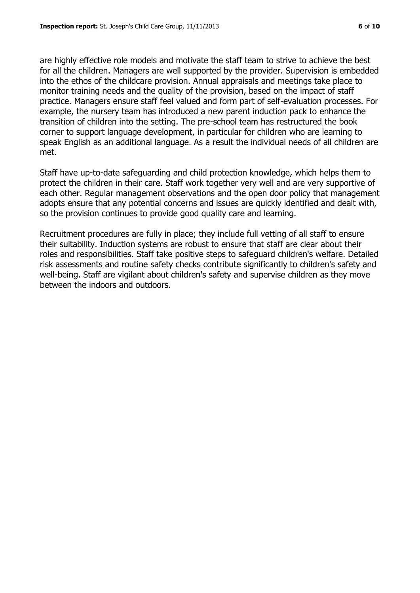are highly effective role models and motivate the staff team to strive to achieve the best for all the children. Managers are well supported by the provider. Supervision is embedded into the ethos of the childcare provision. Annual appraisals and meetings take place to monitor training needs and the quality of the provision, based on the impact of staff practice. Managers ensure staff feel valued and form part of self-evaluation processes. For example, the nursery team has introduced a new parent induction pack to enhance the transition of children into the setting. The pre-school team has restructured the book corner to support language development, in particular for children who are learning to speak English as an additional language. As a result the individual needs of all children are met.

Staff have up-to-date safeguarding and child protection knowledge, which helps them to protect the children in their care. Staff work together very well and are very supportive of each other. Regular management observations and the open door policy that management adopts ensure that any potential concerns and issues are quickly identified and dealt with, so the provision continues to provide good quality care and learning.

Recruitment procedures are fully in place; they include full vetting of all staff to ensure their suitability. Induction systems are robust to ensure that staff are clear about their roles and responsibilities. Staff take positive steps to safeguard children's welfare. Detailed risk assessments and routine safety checks contribute significantly to children's safety and well-being. Staff are vigilant about children's safety and supervise children as they move between the indoors and outdoors.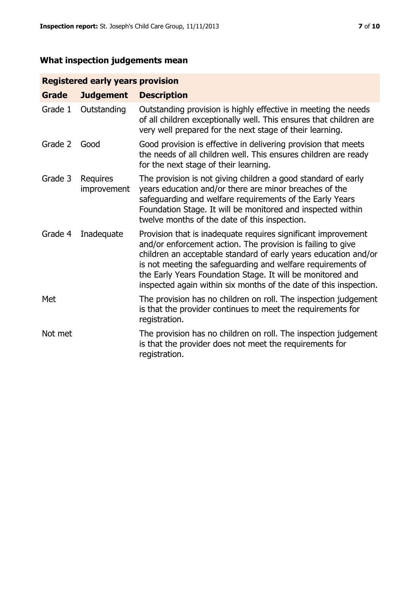# **What inspection judgements mean**

# **Registered early years provision**

| <b>Grade</b> | <b>Judgement</b>        | <b>Description</b>                                                                                                                                                                                                                                                                                                                                                                                |
|--------------|-------------------------|---------------------------------------------------------------------------------------------------------------------------------------------------------------------------------------------------------------------------------------------------------------------------------------------------------------------------------------------------------------------------------------------------|
| Grade 1      | Outstanding             | Outstanding provision is highly effective in meeting the needs<br>of all children exceptionally well. This ensures that children are<br>very well prepared for the next stage of their learning.                                                                                                                                                                                                  |
| Grade 2      | Good                    | Good provision is effective in delivering provision that meets<br>the needs of all children well. This ensures children are ready<br>for the next stage of their learning.                                                                                                                                                                                                                        |
| Grade 3      | Requires<br>improvement | The provision is not giving children a good standard of early<br>years education and/or there are minor breaches of the<br>safeguarding and welfare requirements of the Early Years<br>Foundation Stage. It will be monitored and inspected within<br>twelve months of the date of this inspection.                                                                                               |
| Grade 4      | Inadequate              | Provision that is inadequate requires significant improvement<br>and/or enforcement action. The provision is failing to give<br>children an acceptable standard of early years education and/or<br>is not meeting the safeguarding and welfare requirements of<br>the Early Years Foundation Stage. It will be monitored and<br>inspected again within six months of the date of this inspection. |
| Met          |                         | The provision has no children on roll. The inspection judgement<br>is that the provider continues to meet the requirements for<br>registration.                                                                                                                                                                                                                                                   |
| Not met      |                         | The provision has no children on roll. The inspection judgement<br>is that the provider does not meet the requirements for<br>registration.                                                                                                                                                                                                                                                       |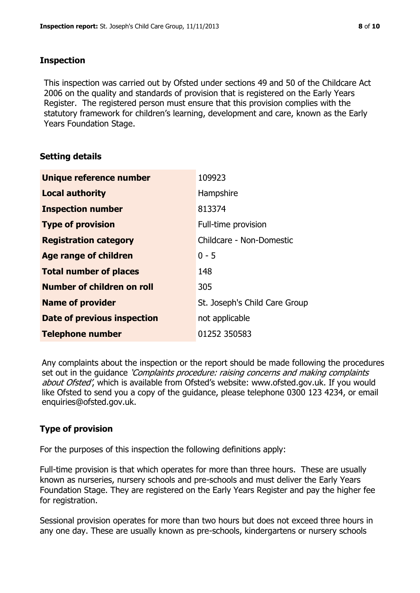### **Inspection**

This inspection was carried out by Ofsted under sections 49 and 50 of the Childcare Act 2006 on the quality and standards of provision that is registered on the Early Years Register. The registered person must ensure that this provision complies with the statutory framework for children's learning, development and care, known as the Early Years Foundation Stage.

# **Setting details**

| Unique reference number       | 109923                        |
|-------------------------------|-------------------------------|
| <b>Local authority</b>        | Hampshire                     |
| <b>Inspection number</b>      | 813374                        |
| <b>Type of provision</b>      | Full-time provision           |
| <b>Registration category</b>  | Childcare - Non-Domestic      |
| <b>Age range of children</b>  | $0 - 5$                       |
| <b>Total number of places</b> | 148                           |
| Number of children on roll    | 305                           |
| <b>Name of provider</b>       | St. Joseph's Child Care Group |
| Date of previous inspection   | not applicable                |
| <b>Telephone number</b>       | 01252 350583                  |

Any complaints about the inspection or the report should be made following the procedures set out in the guidance *'Complaints procedure: raising concerns and making complaints* about Ofsted', which is available from Ofsted's website: www.ofsted.gov.uk. If you would like Ofsted to send you a copy of the guidance, please telephone 0300 123 4234, or email enquiries@ofsted.gov.uk.

# **Type of provision**

For the purposes of this inspection the following definitions apply:

Full-time provision is that which operates for more than three hours. These are usually known as nurseries, nursery schools and pre-schools and must deliver the Early Years Foundation Stage. They are registered on the Early Years Register and pay the higher fee for registration.

Sessional provision operates for more than two hours but does not exceed three hours in any one day. These are usually known as pre-schools, kindergartens or nursery schools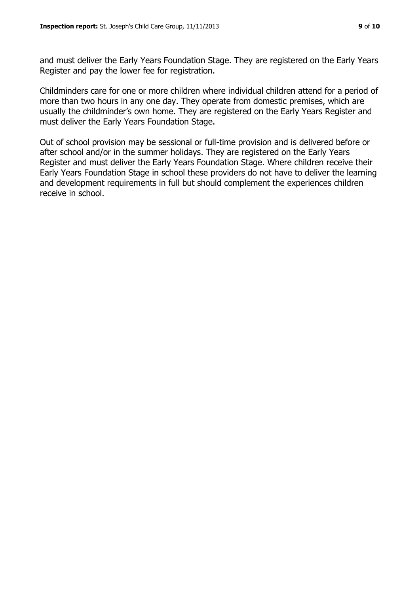and must deliver the Early Years Foundation Stage. They are registered on the Early Years Register and pay the lower fee for registration.

Childminders care for one or more children where individual children attend for a period of more than two hours in any one day. They operate from domestic premises, which are usually the childminder's own home. They are registered on the Early Years Register and must deliver the Early Years Foundation Stage.

Out of school provision may be sessional or full-time provision and is delivered before or after school and/or in the summer holidays. They are registered on the Early Years Register and must deliver the Early Years Foundation Stage. Where children receive their Early Years Foundation Stage in school these providers do not have to deliver the learning and development requirements in full but should complement the experiences children receive in school.